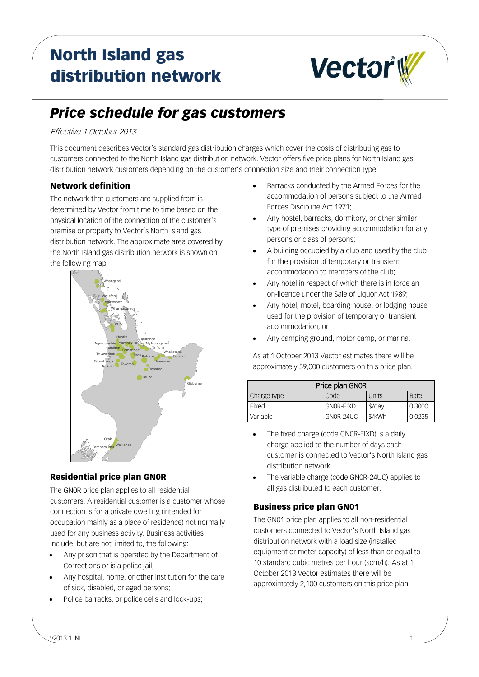# North Island gas distribution network



# *Price schedule for gas customers*

#### Effective 1 October 2013

This document describes Vector's standard gas distribution charges which cover the costs of distributing gas to customers connected to the North Island gas distribution network. Vector offers five price plans for North Island gas distribution network customers depending on the customer's connection size and their connection type.

### Network definition

The network that customers are supplied from is determined by Vector from time to time based on the physical location of the connection of the customer's premise or property to Vector's North Island gas distribution network. The approximate area covered by the North Island gas distribution network is shown on the following map.



# Residential price plan GN0R

The GN0R price plan applies to all residential customers. A residential customer is a customer whose connection is for a private dwelling (intended for occupation mainly as a place of residence) not normally used for any business activity. Business activities include, but are not limited to, the following:

- Any prison that is operated by the Department of Corrections or is a police jail;
- Any hospital, home, or other institution for the care of sick, disabled, or aged persons;
- Police barracks, or police cells and lock-ups;
- Barracks conducted by the Armed Forces for the accommodation of persons subject to the Armed Forces Discipline Act 1971;
- Any hostel, barracks, dormitory, or other similar type of premises providing accommodation for any persons or class of persons;
- A building occupied by a club and used by the club for the provision of temporary or transient accommodation to members of the club;
- Any hotel in respect of which there is in force an on-licence under the Sale of Liquor Act 1989;
- Any hotel, motel, boarding house, or lodging house used for the provision of temporary or transient accommodation; or
- Any camping ground, motor camp, or marina.

As at 1 October 2013 Vector estimates there will be approximately 59,000 customers on this price plan.

| Price plan GNOR |           |          |        |
|-----------------|-----------|----------|--------|
| Charge type     | Code      | Units    | Rate   |
| Fixed           | GNOR-FIXD | $$$ /day | 0.3000 |
| Variable        | GNOR-24UC | \$/kWh   | 0.0235 |

- The fixed charge (code GN0R-FIXD) is a daily charge applied to the number of days each customer is connected to Vector's North Island gas distribution network.
- The variable charge (code GN0R-24UC) applies to all gas distributed to each customer.

# Business price plan GN01

The GN01 price plan applies to all non-residential customers connected to Vector's North Island gas distribution network with a load size (installed equipment or meter capacity) of less than or equal to 10 standard cubic metres per hour (scm/h). As at 1 October 2013 Vector estimates there will be approximately 2,100 customers on this price plan.